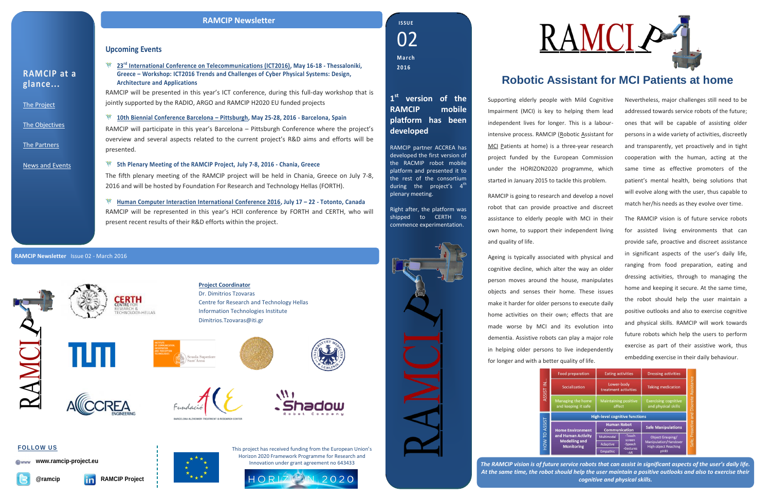*The RAMCIP vision is of future service robots that can assist in significant aspects of the user's daily life. At the same time, the robot should help the user maintain a positive outlooks and also to exercise their cognitive and physical skills.*



### **Upcoming Events**

**23rd [International Conference on Telecommunications \(ICT2016\),](http://ict-2016.org/) May 16-18 - Thessaloniki, Greece – Workshop: ICT2016 Trends and Challenges of Cyber Physical Systems: Design, Architecture and Applications**

RAMCIP will be presented in this year's ICT conference, during this full-day workshop that is jointly supported by the RADIO, ARGO and RAMCIP H2020 EU funded projects

**10th [Biennial Conference Barcelona](http://www.fundacioace.com/en/activities/scientific/barcelona-pittsburgh-conference/) – Pittsburgh, May 25-28, 2016 - Barcelona, Spain**

RAMCIP will participate in this year's Barcelona – Pittsburgh Conference where the project's overview and several aspects related to the current project's R&D aims and efforts will be presented.

### **5th Plenary Meeting of the RAMCIP Project, July 7-8, 2016 - Chania, Greece**

The fifth plenary meeting of the RAMCIP project will be held in Chania, Greece on July 7-8, 2016 and will be hosted by Foundation For Research and Technology Hellas (FORTH).

**[Human Computer Interaction International Conference 2016,](http://2016.hci.international/) July 17 – 22 - Totonto, Canada** RAMCIP will be represented in this year's HCII conference by FORTH and CERTH, who will present recent results of their R&D efforts within the project.

**RAMCIP at a glance...**

[The Project](http://www.ramcip-project.eu/ramcip/project/index.html)

[The Objectives](http://www.ramcip-project.eu/ramcip/content/ramcip-objectives)

[The Partners](http://ramcip-project.eu/ramcip/partners)

[News and Events](http://www.ramcip-project.eu/ramcip/news)

# **Robotic Assistant for MCI Patients at home**

Supporting elderly people with Mild Cognitive Impairment (MCI) is key to helping them lead independent lives for longer. This is a labourintensive process. RAMCIP (Robotic Assistant for MCI Patients at home) is a three-year research project funded by the European Commission under the HORIZON2020 programme, which started in January 2015 to tackle this problem.

RAMCIP is going to research and develop a novel robot that can provide proactive and discreet assistance to elderly people with MCI in their own home, to support their independent living and quality of life.

Ageing is typically associated with physical and cognitive decline, which alter the way an older person moves around the house, manipulates objects and senses their home. These issues make it harder for older persons to execute daily home activities on their own; effects that are made worse by MCI and its evolution into dementia. Assistive robots can play a major role in helping older persons to live independently for longer and with a better quality of life.



Nevertheless, major challenges still need to be addressed towards service robots of the future; ones that will be capable of assisting older persons in a wide variety of activities, discreetly and transparently, yet proactively and in tight cooperation with the human, acting at the same time as effective promoters of the patient's mental health, being solutions that will evolve along with the user, thus capable to match her/his needs as they evolve over time.

The RAMCIP vision is of future service robots for assisted living environments that can provide safe, proactive and discreet assistance in significant aspects of the user's daily life, ranging from food preparation, eating and dressing activities, through to managing the home and keeping it secure. At the same time, the robot should help the user maintain a positive outlooks and also to exercise cognitive and physical skills. RAMCIP will work towards future robots which help the users to perform exercise as part of their assistive work, thus embedding exercise in their daily behaviour.

| preparation                                                            | <b>Eating activities</b>                   |                                                   | <b>Dressing activities</b>                                                                     | Proactive and Discrete Assistance |
|------------------------------------------------------------------------|--------------------------------------------|---------------------------------------------------|------------------------------------------------------------------------------------------------|-----------------------------------|
| <b>ialization</b>                                                      | Lower-body<br>treatment activities         |                                                   | <b>Taking medication</b>                                                                       |                                   |
| ing the home<br>eping it safe                                          | <b>Maintaining positive</b><br>affect      |                                                   | <b>Exercising cognitive</b><br>and physical skills                                             |                                   |
|                                                                        | <b>High-level cognitive functions</b>      |                                                   |                                                                                                |                                   |
| <b>Environment</b><br><b>Iman Activity</b><br>delling and<br>onitoring | <b>Human Robot</b><br><b>Communication</b> |                                                   | <b>Safe Manipulations</b>                                                                      |                                   |
|                                                                        | Multimodal                                 | -Touch<br>screen<br>-Speech<br>-Gestures<br>$-AR$ | <b>Object Grasping/</b><br>Manipulation/Handover<br><b>High object Reaching</b><br><b>pHRI</b> |                                   |
|                                                                        | Adaptive                                   |                                                   |                                                                                                | Safe,                             |
|                                                                        | Empathic                                   |                                                   |                                                                                                |                                   |

#### **RAMCIP Newsletter** Issue 02 - March 2016



### **RAMCIP Newsletter**

**Project Coordinator** Dr. Dimitrios Tzovaras Centre for Research and Technology Hellas Information Technologies Institute Dimitrios.Tzovaras@iti.gr





02 **I S S U E M a r c h 2016**

This project has received funding from the European Union's Horizon 2020 Framework Programme for Research and Innovation under grant agreement no 643433





**www.ramcip-project.eu**





**1 st version of the RAMCIP mobile platform has been developed**

RAMCIP partner ACCREA has developed the first version of the RACMIP robot mobile platform and presented it to the rest of the consortium during the project's  $4^{\text{th}}$ plenary meeting.

Right after, the platform was shipped to CERTH to commence experimentation.